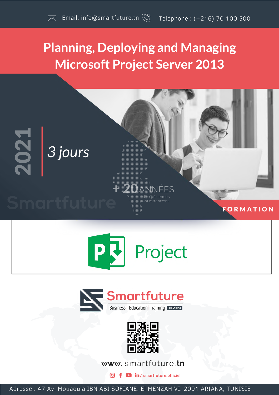# **Planning, Deploying and Managing Microsoft Project Server 2013**









www.smartfuture.tn

**D** in / smartfuture.officiel

Adresse : 47 Av. Mouaouia IBN ABI SOFIANE, El MENZAH VI, 2091 ARIANA, TUNISIE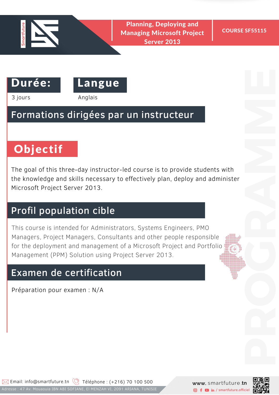

 $\mathbf{D}$  Framming, Deproying and  $\mathbf{D}$ Planning, Deploying and Managing Microsoft Project Server 2013

COURSE SF55115



3 jours Anglais

#### Formations dirigées par un instructeur

# Objectif

The goal of this three-day instructor-led course is to provide students with the knowledge and skills necessary to effectively plan, deploy and administer Microsoft Project Server 2013.

#### Profil population cible

This course is intended for Administrators, Systems Engineers, PMO Managers, Project Managers, Consultants and other people responsible for the deployment and management of a Microsoft Project and Portfolio Management (PPM) Solution using Project Server 2013.

#### Examen de certification

Préparation pour examen : N/A



PROGRAMMENT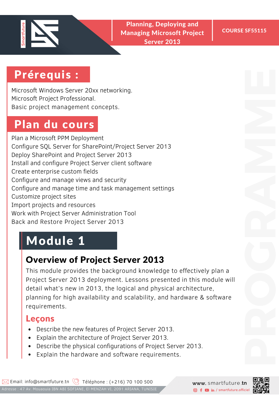

**Planning, Deploying and** Managing Microsoft Project Server 2013

## Prérequis :

Microsoft Windows Server 20xx networking. Microsoft Project Professional. Basic project management concepts.

# Plan du cours

Plan a Microsoft PPM Deployment Configure SQL Server for SharePoint/Project Server 2013 Deploy SharePoint and Project Server 2013 Install and configure Project Server client software Create enterprise custom fields Configure and manage views and security Configure and manage time and task management settings Customize project sites Import projects and resources Work with Project Server Administration Tool Back and Restore Project Server 2013

# Module 1

#### Overview of Project Server 2013

This module provides the background knowledge to effectively plan a Project Server 2013 deployment. Lessons presented in this module will detail what's new in 2013, the logical and physical architecture, planning for high availability and scalability, and hardware & software requirements.

- Describe the new features of Project Server 2013.
- Explain the architecture of Project Server 2013.
- Describe the physical configurations of Project Server 2013.
- Explain the hardware and software requirements.

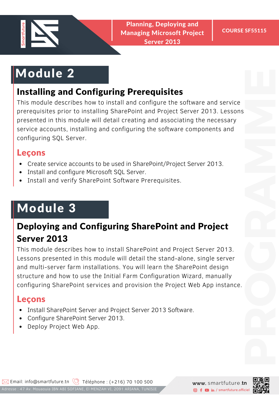

# Module 2

#### Installing and Configuring Prerequisites

This module describes how to install and configure the software and service prerequisites prior to installing SharePoint and Project Server 2013. Lessons presented in this module will detail creating and associating the necessary service accounts, installing and configuring the software components and configuring SQL Server.

#### Leçons

- Create service accounts to be used in SharePoint/Project Server 2013.
- Install and configure Microsoft SQL Server.
- Install and verify SharePoint Software Prerequisites.

# Module 3

### Deploying and Configuring SharePoint and Project Server 2013

This module describes how to install SharePoint and Project Server 2013. Lessons presented in this module will detail the stand-alone, single server and multi-server farm installations. You will learn the SharePoint design structure and how to use the Initial Farm Configuration Wizard, manually configuring SharePoint services and provision the Project Web App instance.

- Install SharePoint Server and Project Server 2013 Software.
- Configure SharePoint Server 2013.  $\bullet$
- Deploy Project Web App.

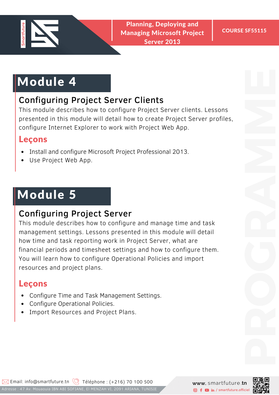

**Planning, Deploying and** Managing Microsoft Project Server 2013

# Module 4

#### Configuring Project Server Clients

This module describes how to configure Project Server clients. Lessons presented in this module will detail how to create Project Server profiles, configure Internet Explorer to work with Project Web App.

#### Leçons

- Install and configure Microsoft Project Professional 2013.
- Use Project Web App.

# Module 5

#### Configuring Project Server

This module describes how to configure and manage time and task management settings. Lessons presented in this module will detail how time and task reporting work in Project Server, what are financial periods and timesheet settings and how to configure them. You will learn how to configure Operational Policies and import resources and project plans.

- Configure Time and Task Management Settings.
- Configure Operational Policies.  $\bullet$
- Import Resources and Project Plans.

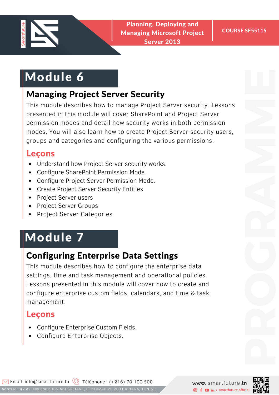

**Planning, Deploying and** Managing Microsoft Project Server 2013

# Module 6

#### Managing Project Server Security

This module describes how to manage Project Server security. Lessons presented in this module will cover SharePoint and Project Server permission modes and detail how security works in both permission modes. You will also learn how to create Project Server security users, groups and categories and configuring the various permissions.

#### Leçons

- Understand how Project Server security works.
- Configure SharePoint Permission Mode.
- Configure Project Server Permission Mode.
- Create Project Server Security Entities
- Project Server users
- Project Server Groups
- Project Server Categories

# Module 7

#### Configuring Enterprise Data Settings

This module describes how to configure the enterprise data settings, time and task management and operational policies. Lessons presented in this module will cover how to create and configure enterprise custom fields, calendars, and time & task management.

- Configure Enterprise Custom Fields.
- Configure Enterprise Objects.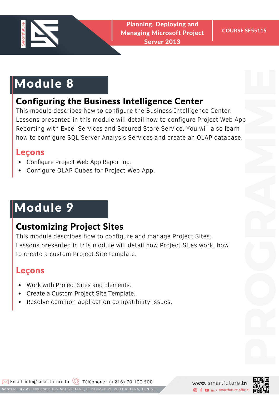

# Module 8

#### Configuring the Business Intelligence Center

This module describes how to configure the Business Intelligence Center. Lessons presented in this module will detail how to configure Project Web App Reporting with Excel Services and Secured Store Service. You will also learn how to configure SQL Server Analysis Services and create an OLAP database. PROGRAMMENT

#### Leçons

- Configure Project Web App Reporting.
- Configure OLAP Cubes for Project Web App.

# Module 9

#### Customizing Project Sites

This module describes how to configure and manage Project Sites. Lessons presented in this module will detail how Project Sites work, how to create a custom Project Site template.

- Work with Project Sites and Elements.
- Create a Custom Project Site Template.
- Resolve common application compatibility issues.



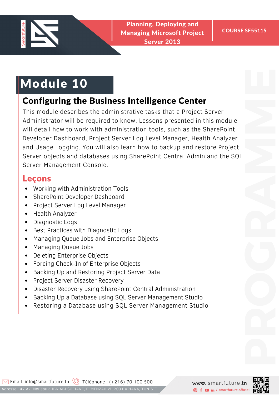

 $\mathbf{D}$  Framming, Deproying and  $\mathbf{D}$ Planning, Deploying and Managing Microsoft Project Server 2013

# Module 10

#### Configuring the Business Intelligence Center

This module describes the administrative tasks that a Project Server Administrator will be required to know. Lessons presented in this module will detail how to work with administration tools, such as the SharePoint Developer Dashboard, Project Server Log Level Manager, Health Analyzer and Usage Logging. You will also learn how to backup and restore Project Server objects and databases using SharePoint Central Admin and the SQL Server Management Console.

- Working with Administration Tools
- SharePoint Developer Dashboard
- Project Server Log Level Manager
- Health Analyzer
- Diagnostic Logs
- Best Practices with Diagnostic Logs
- Managing Queue Jobs and Enterprise Objects
- Managing Queue Jobs
- Deleting Enterprise Objects
- Forcing Check-In of Enterprise Objects
- Backing Up and Restoring Project Server Data
- Project Server Disaster Recovery
- Disaster Recovery using SharePoint Central Administration
- Backing Up a Database using SQL Server Management Studio
- Restoring a Database using SQL Server Management Studio